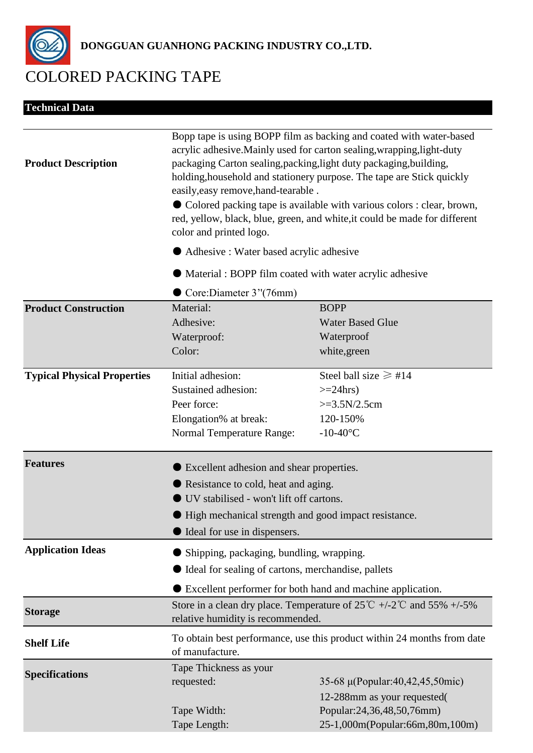

**Technical Data**

**DONGGUAN GUANHONG PACKING INDUSTRY CO.,LTD.**

## COLORED PACKING TAPE

| <b>Product Description</b>         | Bopp tape is using BOPP film as backing and coated with water-based<br>acrylic adhesive. Mainly used for carton sealing, wrapping, light-duty<br>packaging Carton sealing, packing, light duty packaging, building,<br>holding, household and stationery purpose. The tape are Stick quickly<br>easily, easy remove, hand-tearable.<br>• Colored packing tape is available with various colors : clear, brown,<br>red, yellow, black, blue, green, and white, it could be made for different<br>color and printed logo.<br>Adhesive: Water based acrylic adhesive<br>Material: BOPP film coated with water acrylic adhesive |                                                                                                                                |
|------------------------------------|-----------------------------------------------------------------------------------------------------------------------------------------------------------------------------------------------------------------------------------------------------------------------------------------------------------------------------------------------------------------------------------------------------------------------------------------------------------------------------------------------------------------------------------------------------------------------------------------------------------------------------|--------------------------------------------------------------------------------------------------------------------------------|
|                                    |                                                                                                                                                                                                                                                                                                                                                                                                                                                                                                                                                                                                                             |                                                                                                                                |
|                                    |                                                                                                                                                                                                                                                                                                                                                                                                                                                                                                                                                                                                                             |                                                                                                                                |
|                                    | <b>Product Construction</b>                                                                                                                                                                                                                                                                                                                                                                                                                                                                                                                                                                                                 | Material:<br>Adhesive:<br>Waterproof:<br>Color:                                                                                |
| <b>Typical Physical Properties</b> | Initial adhesion:<br>Sustained adhesion:<br>Peer force:<br>Elongation% at break:<br><b>Normal Temperature Range:</b>                                                                                                                                                                                                                                                                                                                                                                                                                                                                                                        | Steel ball size $\geq \text{\#}14$<br>$>=24hrs$<br>$>=3.5N/2.5cm$<br>120-150%<br>$-10-40$ °C                                   |
| <b>Features</b>                    | <b>Excellent adhesion and shear properties.</b><br>Resistance to cold, heat and aging.<br>UV stabilised - won't lift off cartons.<br>If High mechanical strength and good impact resistance<br>licensity Ideal for use in dispensers.                                                                                                                                                                                                                                                                                                                                                                                       |                                                                                                                                |
| <b>Application Ideas</b>           | Shipping, packaging, bundling, wrapping.<br>I Ideal for sealing of cartons, merchandise, pallets<br>Excellent performer for both hand and machine application.                                                                                                                                                                                                                                                                                                                                                                                                                                                              |                                                                                                                                |
| <b>Storage</b>                     | Store in a clean dry place. Temperature of $25^{\circ}\text{C}$ +/-2 $^{\circ}\text{C}$ and $55\%$ +/-5%<br>relative humidity is recommended.                                                                                                                                                                                                                                                                                                                                                                                                                                                                               |                                                                                                                                |
| <b>Shelf Life</b>                  | To obtain best performance, use this product within 24 months from date<br>of manufacture.                                                                                                                                                                                                                                                                                                                                                                                                                                                                                                                                  |                                                                                                                                |
| <b>Specifications</b>              | Tape Thickness as your<br>requested:<br>Tape Width:<br>Tape Length:                                                                                                                                                                                                                                                                                                                                                                                                                                                                                                                                                         | 35-68 μ(Popular:40,42,45,50mic)<br>12-288mm as your requested(<br>Popular:24,36,48,50,76mm)<br>25-1,000m(Popular:66m,80m,100m) |